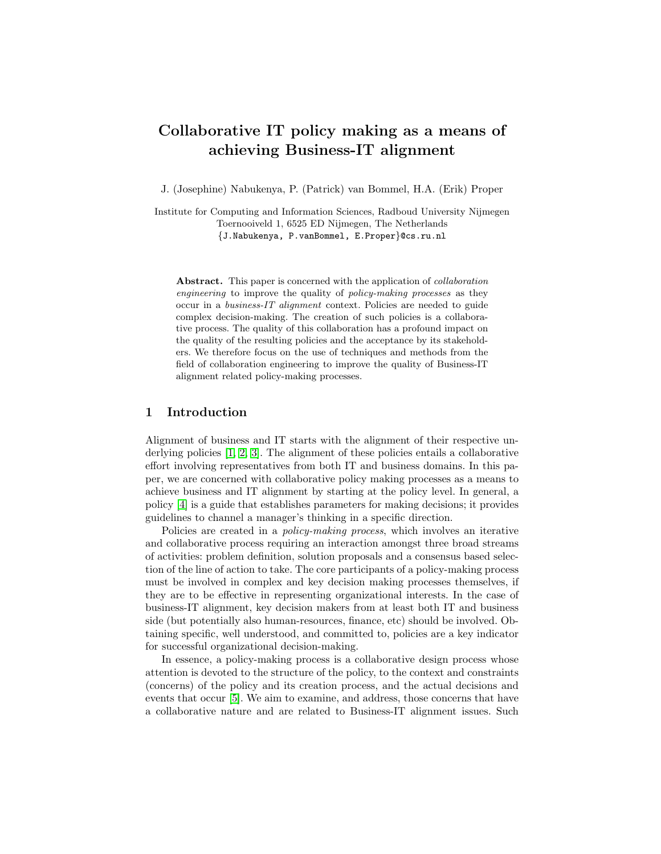# Collaborative IT policy making as a means of achieving Business-IT alignment

J. (Josephine) Nabukenya, P. (Patrick) van Bommel, H.A. (Erik) Proper

Institute for Computing and Information Sciences, Radboud University Nijmegen Toernooiveld 1, 6525 ED Nijmegen, The Netherlands {J.Nabukenya, P.vanBommel, E.Proper}@cs.ru.nl

Abstract. This paper is concerned with the application of collaboration engineering to improve the quality of policy-making processes as they occur in a business-IT alignment context. Policies are needed to guide complex decision-making. The creation of such policies is a collaborative process. The quality of this collaboration has a profound impact on the quality of the resulting policies and the acceptance by its stakeholders. We therefore focus on the use of techniques and methods from the field of collaboration engineering to improve the quality of Business-IT alignment related policy-making processes.

## 1 Introduction

Alignment of business and IT starts with the alignment of their respective underlying policies [\[1,](#page-7-0) [2,](#page-7-1) [3\]](#page-7-2). The alignment of these policies entails a collaborative effort involving representatives from both IT and business domains. In this paper, we are concerned with collaborative policy making processes as a means to achieve business and IT alignment by starting at the policy level. In general, a policy [\[4\]](#page-7-3) is a guide that establishes parameters for making decisions; it provides guidelines to channel a manager's thinking in a specific direction.

Policies are created in a policy-making process, which involves an iterative and collaborative process requiring an interaction amongst three broad streams of activities: problem definition, solution proposals and a consensus based selection of the line of action to take. The core participants of a policy-making process must be involved in complex and key decision making processes themselves, if they are to be effective in representing organizational interests. In the case of business-IT alignment, key decision makers from at least both IT and business side (but potentially also human-resources, finance, etc) should be involved. Obtaining specific, well understood, and committed to, policies are a key indicator for successful organizational decision-making.

In essence, a policy-making process is a collaborative design process whose attention is devoted to the structure of the policy, to the context and constraints (concerns) of the policy and its creation process, and the actual decisions and events that occur [\[5\]](#page-7-4). We aim to examine, and address, those concerns that have a collaborative nature and are related to Business-IT alignment issues. Such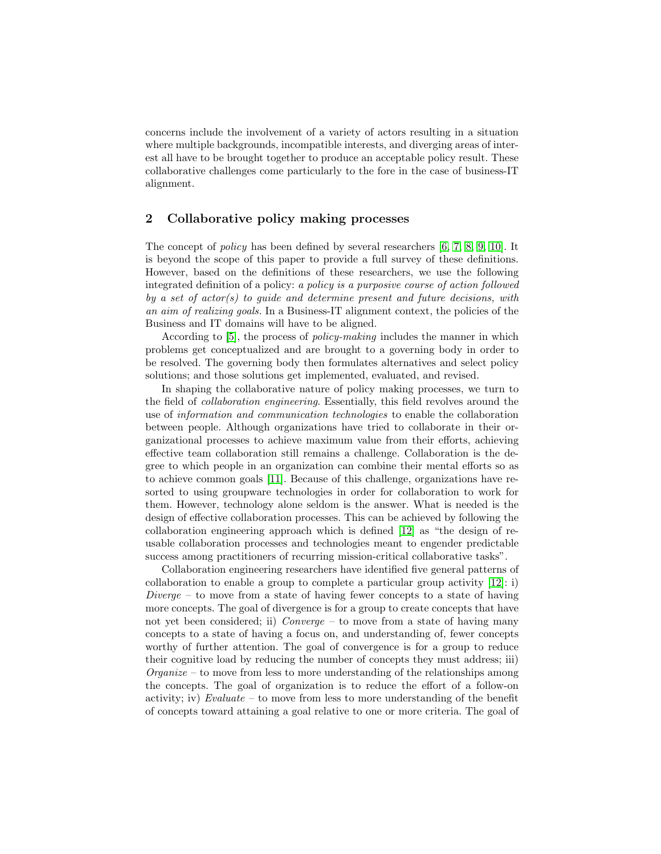concerns include the involvement of a variety of actors resulting in a situation where multiple backgrounds, incompatible interests, and diverging areas of interest all have to be brought together to produce an acceptable policy result. These collaborative challenges come particularly to the fore in the case of business-IT alignment.

# <span id="page-1-0"></span>2 Collaborative policy making processes

The concept of policy has been defined by several researchers [\[6,](#page-7-5) [7,](#page-7-6) [8,](#page-7-7) [9,](#page-7-8) [10\]](#page-7-9). It is beyond the scope of this paper to provide a full survey of these definitions. However, based on the definitions of these researchers, we use the following integrated definition of a policy: a policy is a purposive course of action followed by a set of  $actor(s)$  to quide and determine present and future decisions, with an aim of realizing goals. In a Business-IT alignment context, the policies of the Business and IT domains will have to be aligned.

According to [\[5\]](#page-7-4), the process of policy-making includes the manner in which problems get conceptualized and are brought to a governing body in order to be resolved. The governing body then formulates alternatives and select policy solutions; and those solutions get implemented, evaluated, and revised.

In shaping the collaborative nature of policy making processes, we turn to the field of collaboration engineering. Essentially, this field revolves around the use of information and communication technologies to enable the collaboration between people. Although organizations have tried to collaborate in their organizational processes to achieve maximum value from their efforts, achieving effective team collaboration still remains a challenge. Collaboration is the degree to which people in an organization can combine their mental efforts so as to achieve common goals [\[11\]](#page-7-10). Because of this challenge, organizations have resorted to using groupware technologies in order for collaboration to work for them. However, technology alone seldom is the answer. What is needed is the design of effective collaboration processes. This can be achieved by following the collaboration engineering approach which is defined [\[12\]](#page-7-11) as "the design of reusable collaboration processes and technologies meant to engender predictable success among practitioners of recurring mission-critical collaborative tasks".

Collaboration engineering researchers have identified five general patterns of collaboration to enable a group to complete a particular group activity [\[12\]](#page-7-11): i)  $Diverge -$  to move from a state of having fewer concepts to a state of having more concepts. The goal of divergence is for a group to create concepts that have not yet been considered; ii)  $Converge -$  to move from a state of having many concepts to a state of having a focus on, and understanding of, fewer concepts worthy of further attention. The goal of convergence is for a group to reduce their cognitive load by reducing the number of concepts they must address; iii)  $Organize - to move from less to more understanding of the relationships among$ the concepts. The goal of organization is to reduce the effort of a follow-on activity; iv)  $Evaluate - to move from less to more understanding of the benefit$ of concepts toward attaining a goal relative to one or more criteria. The goal of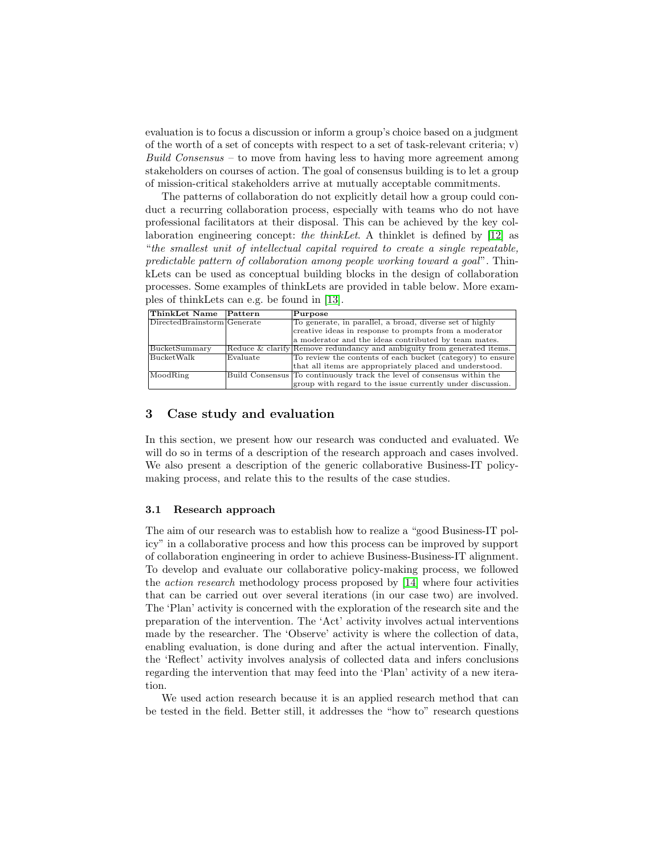evaluation is to focus a discussion or inform a group's choice based on a judgment of the worth of a set of concepts with respect to a set of task-relevant criteria;  $v$ ) Build Consensus – to move from having less to having more agreement among stakeholders on courses of action. The goal of consensus building is to let a group of mission-critical stakeholders arrive at mutually acceptable commitments.

The patterns of collaboration do not explicitly detail how a group could conduct a recurring collaboration process, especially with teams who do not have professional facilitators at their disposal. This can be achieved by the key collaboration engineering concept: the thinkLet. A thinklet is defined by [\[12\]](#page-7-11) as "the smallest unit of intellectual capital required to create a single repeatable, predictable pattern of collaboration among people working toward a goal". ThinkLets can be used as conceptual building blocks in the design of collaboration processes. Some examples of thinkLets are provided in table below. More examples of thinkLets can e.g. be found in [\[13\]](#page-7-12).

| ThinkLet Name                | Pattern  | $P$ urpose                                                              |  |  |  |
|------------------------------|----------|-------------------------------------------------------------------------|--|--|--|
| DirectedBrainstorm Generator |          | To generate, in parallel, a broad, diverse set of highly                |  |  |  |
|                              |          | creative ideas in response to prompts from a moderator                  |  |  |  |
|                              |          | a moderator and the ideas contributed by team mates.                    |  |  |  |
| BucketSummary                |          | Reduce & clarify Remove redundancy and ambiguity from generated items.  |  |  |  |
| $\rm{BucketWalk}$            | Evaluate | To review the contents of each bucket (category) to ensure              |  |  |  |
|                              |          | that all items are appropriately placed and understood.                 |  |  |  |
| MoodRing                     |          | Build Consensus To continuously track the level of consensus within the |  |  |  |
|                              |          | group with regard to the issue currently under discussion.              |  |  |  |

## 3 Case study and evaluation

In this section, we present how our research was conducted and evaluated. We will do so in terms of a description of the research approach and cases involved. We also present a description of the generic collaborative Business-IT policymaking process, and relate this to the results of the case studies.

#### 3.1 Research approach

The aim of our research was to establish how to realize a "good Business-IT policy" in a collaborative process and how this process can be improved by support of collaboration engineering in order to achieve Business-Business-IT alignment. To develop and evaluate our collaborative policy-making process, we followed the action research methodology process proposed by [\[14\]](#page-7-13) where four activities that can be carried out over several iterations (in our case two) are involved. The 'Plan' activity is concerned with the exploration of the research site and the preparation of the intervention. The 'Act' activity involves actual interventions made by the researcher. The 'Observe' activity is where the collection of data, enabling evaluation, is done during and after the actual intervention. Finally, the 'Reflect' activity involves analysis of collected data and infers conclusions regarding the intervention that may feed into the 'Plan' activity of a new iteration.

We used action research because it is an applied research method that can be tested in the field. Better still, it addresses the "how to" research questions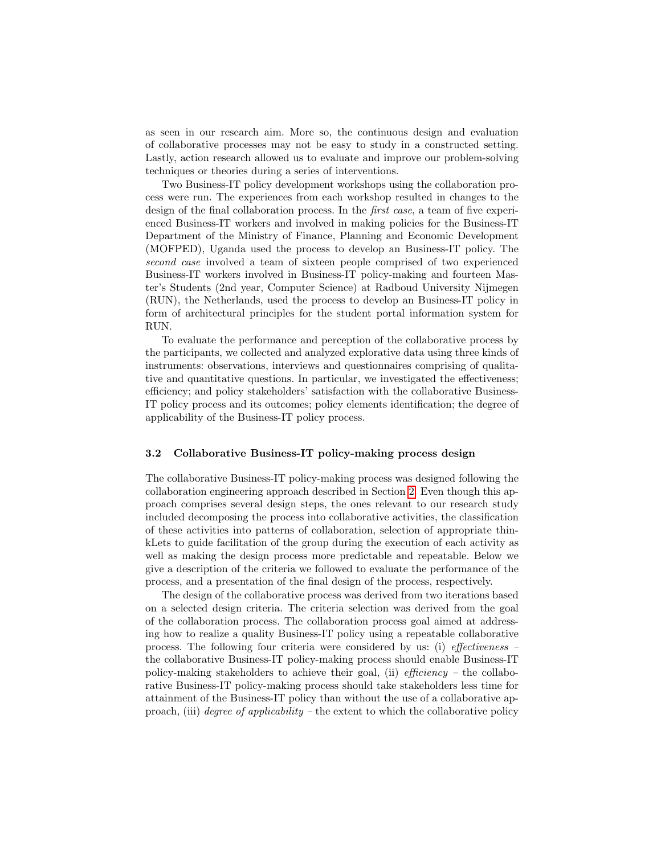as seen in our research aim. More so, the continuous design and evaluation of collaborative processes may not be easy to study in a constructed setting. Lastly, action research allowed us to evaluate and improve our problem-solving techniques or theories during a series of interventions.

Two Business-IT policy development workshops using the collaboration process were run. The experiences from each workshop resulted in changes to the design of the final collaboration process. In the first case, a team of five experienced Business-IT workers and involved in making policies for the Business-IT Department of the Ministry of Finance, Planning and Economic Development (MOFPED), Uganda used the process to develop an Business-IT policy. The second case involved a team of sixteen people comprised of two experienced Business-IT workers involved in Business-IT policy-making and fourteen Master's Students (2nd year, Computer Science) at Radboud University Nijmegen (RUN), the Netherlands, used the process to develop an Business-IT policy in form of architectural principles for the student portal information system for RUN.

To evaluate the performance and perception of the collaborative process by the participants, we collected and analyzed explorative data using three kinds of instruments: observations, interviews and questionnaires comprising of qualitative and quantitative questions. In particular, we investigated the effectiveness; efficiency; and policy stakeholders' satisfaction with the collaborative Business-IT policy process and its outcomes; policy elements identification; the degree of applicability of the Business-IT policy process.

## 3.2 Collaborative Business-IT policy-making process design

The collaborative Business-IT policy-making process was designed following the collaboration engineering approach described in Section [2.](#page-1-0) Even though this approach comprises several design steps, the ones relevant to our research study included decomposing the process into collaborative activities, the classification of these activities into patterns of collaboration, selection of appropriate thinkLets to guide facilitation of the group during the execution of each activity as well as making the design process more predictable and repeatable. Below we give a description of the criteria we followed to evaluate the performance of the process, and a presentation of the final design of the process, respectively.

The design of the collaborative process was derived from two iterations based on a selected design criteria. The criteria selection was derived from the goal of the collaboration process. The collaboration process goal aimed at addressing how to realize a quality Business-IT policy using a repeatable collaborative process. The following four criteria were considered by us: (i) effectiveness – the collaborative Business-IT policy-making process should enable Business-IT policy-making stakeholders to achieve their goal, (ii) efficiency – the collaborative Business-IT policy-making process should take stakeholders less time for attainment of the Business-IT policy than without the use of a collaborative approach, (iii) *degree of applicability* – the extent to which the collaborative policy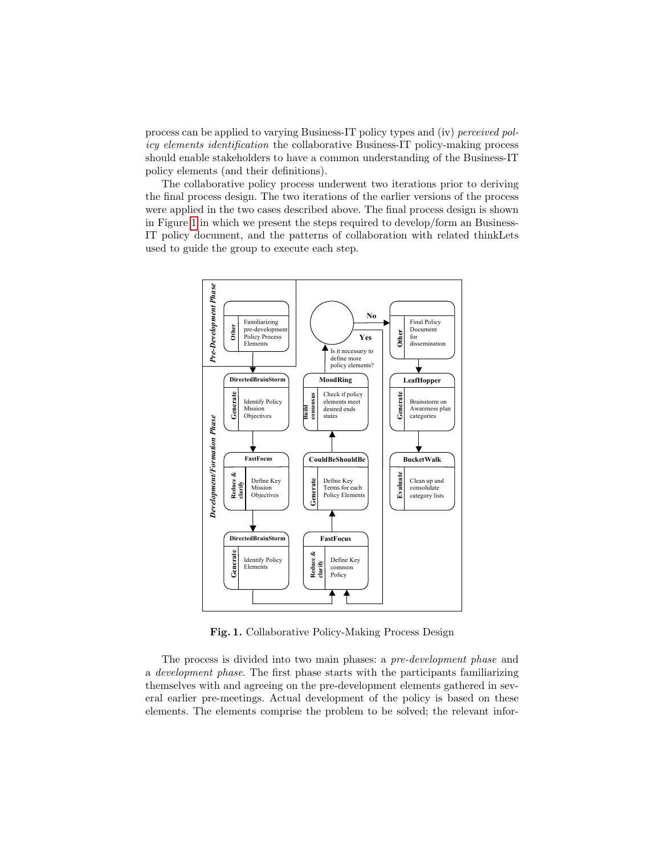process can be applied to varying Business-IT policy types and (iv) perceived policy elements identification the collaborative Business-IT policy-making process should enable stakeholders to have a common understanding of the Business-IT policy elements (and their definitions).

The collaborative policy process underwent two iterations prior to deriving the final process design. The two iterations of the earlier versions of the process were applied in the two cases described above. The final process design is shown in Figure [1](#page-4-0) in which we present the steps required to develop/form an Business-IT policy document, and the patterns of collaboration with related thinkLets used to guide the group to execute each step.



<span id="page-4-0"></span>Fig. 1. Collaborative Policy-Making Process Design

The process is divided into two main phases: a pre-development phase and a development phase. The first phase starts with the participants familiarizing themselves with and agreeing on the pre-development elements gathered in several earlier pre-meetings. Actual development of the policy is based on these elements. The elements comprise the problem to be solved; the relevant infor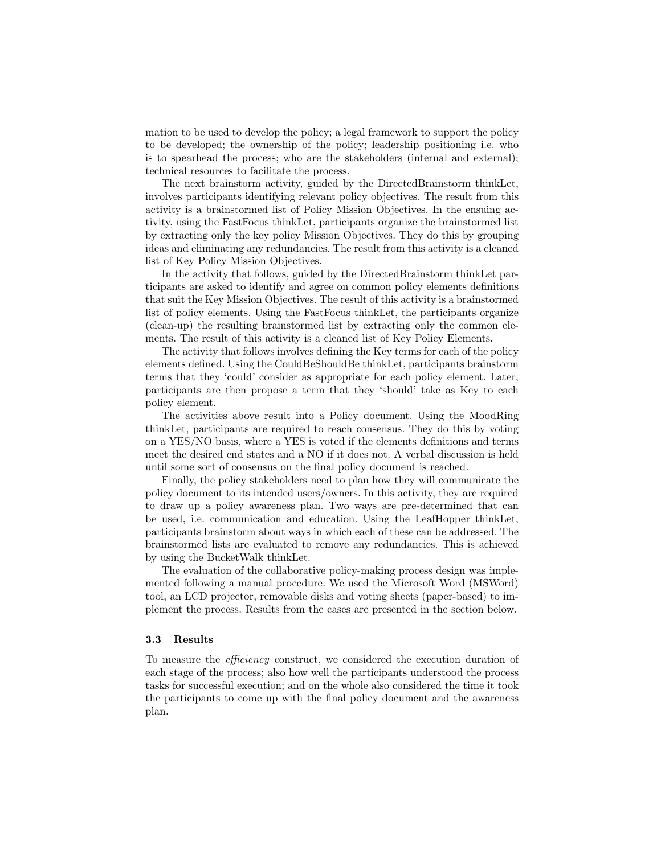mation to be used to develop the policy; a legal framework to support the policy to be developed; the ownership of the policy; leadership positioning i.e. who is to spearhead the process; who are the stakeholders (internal and external); technical resources to facilitate the process.

The next brainstorm activity, guided by the DirectedBrainstorm thinkLet, involves participants identifying relevant policy objectives. The result from this activity is a brainstormed list of Policy Mission Objectives. In the ensuing activity, using the FastFocus thinkLet, participants organize the brainstormed list by extracting only the key policy Mission Objectives. They do this by grouping ideas and eliminating any redundancies. The result from this activity is a cleaned list of Key Policy Mission Objectives.

In the activity that follows, guided by the DirectedBrainstorm thinkLet participants are asked to identify and agree on common policy elements definitions that suit the Key Mission Objectives. The result of this activity is a brainstormed list of policy elements. Using the FastFocus thinkLet, the participants organize (clean-up) the resulting brainstormed list by extracting only the common elements. The result of this activity is a cleaned list of Key Policy Elements.

The activity that follows involves defining the Key terms for each of the policy elements defined. Using the CouldBeShouldBe thinkLet, participants brainstorm terms that they 'could' consider as appropriate for each policy element. Later, participants are then propose a term that they 'should' take as Key to each policy element.

The activities above result into a Policy document. Using the MoodRing thinkLet, participants are required to reach consensus. They do this by voting on a YES/NO basis, where a YES is voted if the elements definitions and terms meet the desired end states and a NO if it does not. A verbal discussion is held until some sort of consensus on the final policy document is reached.

Finally, the policy stakeholders need to plan how they will communicate the policy document to its intended users/owners. In this activity, they are required to draw up a policy awareness plan. Two ways are pre-determined that can be used, i.e. communication and education. Using the LeafHopper thinkLet, participants brainstorm about ways in which each of these can be addressed. The brainstormed lists are evaluated to remove any redundancies. This is achieved by using the BucketWalk thinkLet.

The evaluation of the collaborative policy-making process design was implemented following a manual procedure. We used the Microsoft Word (MSWord) tool, an LCD projector, removable disks and voting sheets (paper-based) to implement the process. Results from the cases are presented in the section below.

#### 3.3 Results

To measure the efficiency construct, we considered the execution duration of each stage of the process; also how well the participants understood the process tasks for successful execution; and on the whole also considered the time it took the participants to come up with the final policy document and the awareness plan.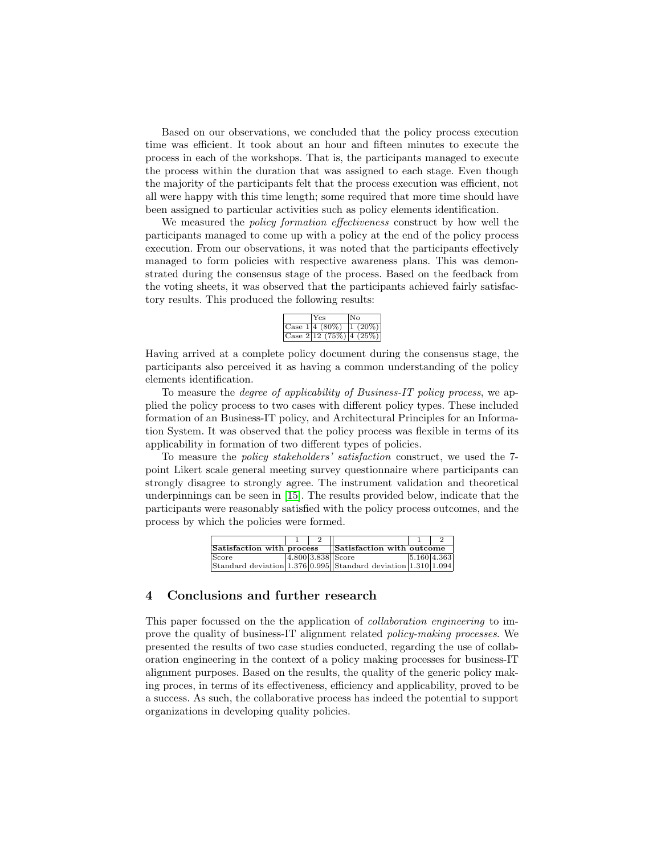Based on our observations, we concluded that the policy process execution time was efficient. It took about an hour and fifteen minutes to execute the process in each of the workshops. That is, the participants managed to execute the process within the duration that was assigned to each stage. Even though the majority of the participants felt that the process execution was efficient, not all were happy with this time length; some required that more time should have been assigned to particular activities such as policy elements identification.

We measured the *policy formation effectiveness* construct by how well the participants managed to come up with a policy at the end of the policy process execution. From our observations, it was noted that the participants effectively managed to form policies with respective awareness plans. This was demonstrated during the consensus stage of the process. Based on the feedback from the voting sheets, it was observed that the participants achieved fairly satisfactory results. This produced the following results:

| Yes                        |  |
|----------------------------|--|
| Case 1 4 (80%)  1 (20%)    |  |
| Case $2 12(75\%) 4(25\%) $ |  |

Having arrived at a complete policy document during the consensus stage, the participants also perceived it as having a common understanding of the policy elements identification.

To measure the degree of applicability of Business-IT policy process, we applied the policy process to two cases with different policy types. These included formation of an Business-IT policy, and Architectural Principles for an Information System. It was observed that the policy process was flexible in terms of its applicability in formation of two different types of policies.

To measure the policy stakeholders' satisfaction construct, we used the 7 point Likert scale general meeting survey questionnaire where participants can strongly disagree to strongly agree. The instrument validation and theoretical underpinnings can be seen in [\[15\]](#page-7-14). The results provided below, indicate that the participants were reasonably satisfied with the policy process outcomes, and the process by which the policies were formed.

| Satisfaction with process |  | Satisfaction with outcome                                     |  |             |
|---------------------------|--|---------------------------------------------------------------|--|-------------|
| Score                     |  | $ 4.800 3.838 $ Score                                         |  | 5.160 4.363 |
|                           |  | Standard deviation 1.376 0.995 Standard deviation 1.310 1.094 |  |             |

# 4 Conclusions and further research

This paper focussed on the the application of collaboration engineering to improve the quality of business-IT alignment related policy-making processes. We presented the results of two case studies conducted, regarding the use of collaboration engineering in the context of a policy making processes for business-IT alignment purposes. Based on the results, the quality of the generic policy making proces, in terms of its effectiveness, efficiency and applicability, proved to be a success. As such, the collaborative process has indeed the potential to support organizations in developing quality policies.